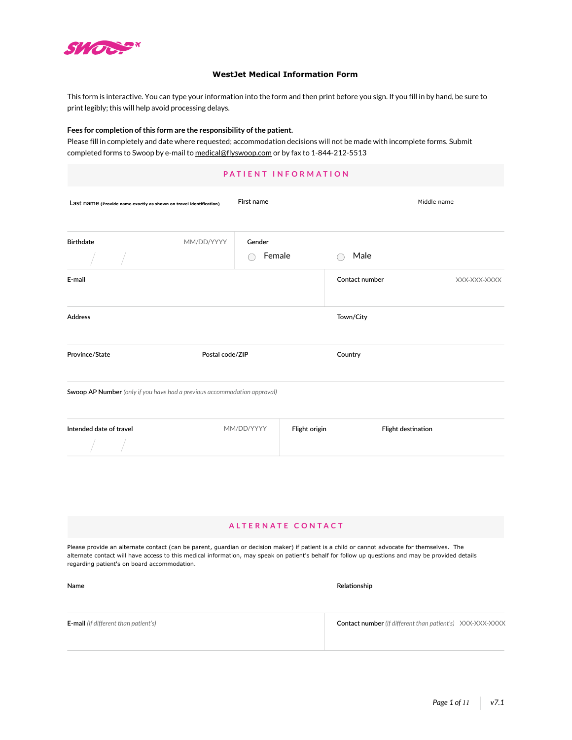

**Name**

## **WestJet Medical Information Form**

This form is interactive. You can type your information into the form and then print before you sign. If you fill in by hand, be sure to print legibly; this will help avoid processing delays.

### **Fees for completion of this form are the responsibility of the patient.**

Please fill in completely and date where requested; accommodation decisions will not be made with incomplete forms. Submit completed forms to Swoop by e-mail to [medical@flyswoop.com](mailto:medical%40flyswoop.com?subject=) or by fax to 1-844-212-5513

| PATIENT INFORMATION                                                      |                 |                  |               |                    |              |  |  |  |
|--------------------------------------------------------------------------|-----------------|------------------|---------------|--------------------|--------------|--|--|--|
| Last name (Provide name exactly as shown on travel identification)       |                 | First name       |               |                    | Middle name  |  |  |  |
| <b>Birthdate</b>                                                         | MM/DD/YYYY      | Gender<br>Female |               | Male               |              |  |  |  |
| E-mail                                                                   |                 |                  |               | Contact number     | XXX-XXX-XXXX |  |  |  |
| <b>Address</b>                                                           |                 |                  |               | Town/City          |              |  |  |  |
| Province/State                                                           | Postal code/ZIP |                  |               | Country            |              |  |  |  |
| Swoop AP Number (only if you have had a previous accommodation approval) |                 |                  |               |                    |              |  |  |  |
| Intended date of travel                                                  |                 | MM/DD/YYYY       | Flight origin | Flight destination |              |  |  |  |

## **ALTERNATE CONTACT**

Please provide an alternate contact (can be parent, guardian or decision maker) if patient is a child or cannot advocate for themselves. The alternate contact will have access to this medical information, may speak on patient's behalf for follow up questions and may be provided details regarding patient's on board accommodation.

| <b>E-mail</b> (if different than patient's) | <b>Contact number</b> (if different than patient's) XXX-XXX-XXXX |  |
|---------------------------------------------|------------------------------------------------------------------|--|
|                                             |                                                                  |  |

**Relationship**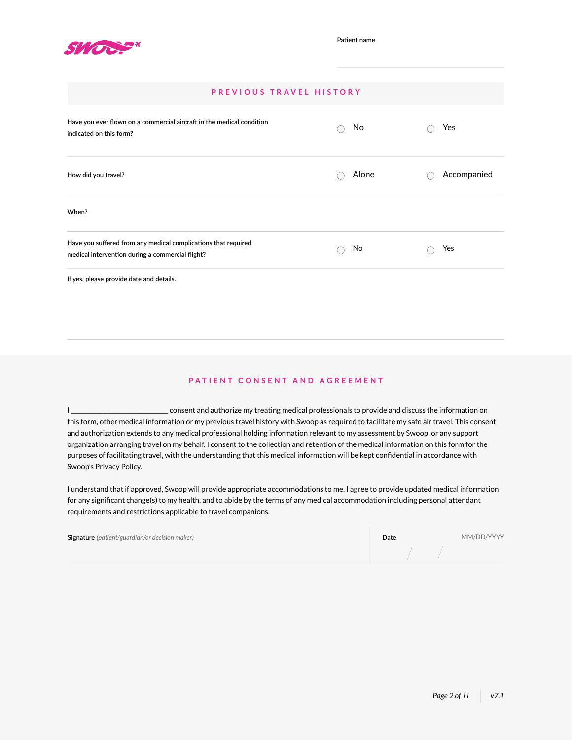

# **PREVIOUS TRAVEL HISTORY**

| Have you ever flown on a commercial aircraft in the medical condition<br>indicated on this form?                   | No    | Yes         |
|--------------------------------------------------------------------------------------------------------------------|-------|-------------|
| How did you travel?                                                                                                | Alone | Accompanied |
| When?                                                                                                              |       |             |
| Have you suffered from any medical complications that required<br>medical intervention during a commercial flight? | No    | Yes         |
|                                                                                                                    |       |             |

**If yes, please provide date and details.**

# **PATIENT CONSENT AND AGREEMENT**

I \_\_\_\_\_\_\_\_\_\_\_\_\_\_\_\_\_\_\_\_\_\_\_\_\_\_\_\_\_\_\_\_\_ consent and authorize my treating medical professionals to provide and discuss the information on this form, other medical information or my previous travel history with Swoop as required to facilitate my safe air travel. This consent and authorization extends to any medical professional holding information relevant to my assessment by Swoop, or any support organization arranging travel on my behalf. I consent to the collection and retention of the medical information on this form for the purposes of facilitating travel, with the understanding that this medical information will be kept confidential in accordance with Swoop's Privacy Policy.

I understand that if approved, Swoop will provide appropriate accommodations to me. I agree to provide updated medical information for any significant change(s) to my health, and to abide by the terms of any medical accommodation including personal attendant requirements and restrictions applicable to travel companions.

| <b>Signature</b> (patient/guardian/or decision maker) | Date | MM/DD/YYYY |
|-------------------------------------------------------|------|------------|
|                                                       |      |            |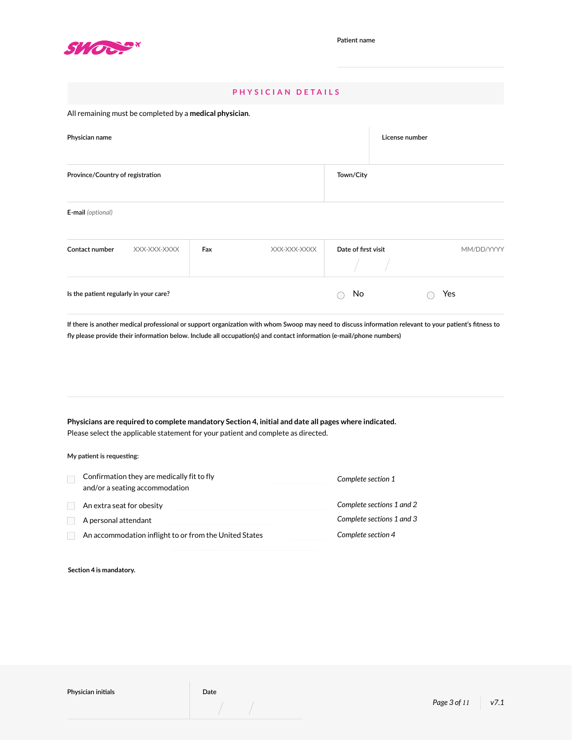

# **PHYSICIAN DETAILS**

## All remaining must be completed by a **medical physician**.

| Physician name                   |              | License number |              |                     |            |
|----------------------------------|--------------|----------------|--------------|---------------------|------------|
| Province/Country of registration |              |                |              | Town/City           |            |
| E-mail (optional)                |              |                |              |                     |            |
| Contact number                   | XXX-XXX-XXXX | Fax            | XXX-XXX-XXXX | Date of first visit | MM/DD/YYYY |

| If there is another medical professional or support organization with whom Swoop may need to discuss information relevant to your patient's fitness to |
|--------------------------------------------------------------------------------------------------------------------------------------------------------|
| fly please provide their information below. Include all occupation(s) and contact information (e-mail/phone numbers)                                   |

**Is the patient regularly in your care?** No Yes

**Physicians are required to complete mandatory Section 4, initial and date all pages where indicated.**  Please select the applicable statement for your patient and complete as directed.

**My patient is requesting:**

| Confirmation they are medically fit to fly<br>and/or a seating accommodation | Complete section 1        |
|------------------------------------------------------------------------------|---------------------------|
| An extra seat for obesity                                                    | Complete sections 1 and 2 |
| A personal attendant                                                         | Complete sections 1 and 3 |
| An accommodation inflight to or from the United States                       | Complete section 4        |

**Section 4 is mandatory.**

 $\int d\mathbf{r} \, d\mathbf{r} = -\frac{1}{2} \left( \frac{\partial \mathbf{r}}{\partial \mathbf{r}} + \frac{\partial \mathbf{r}}{\partial \mathbf{r}} \right) \, d\mathbf{r}$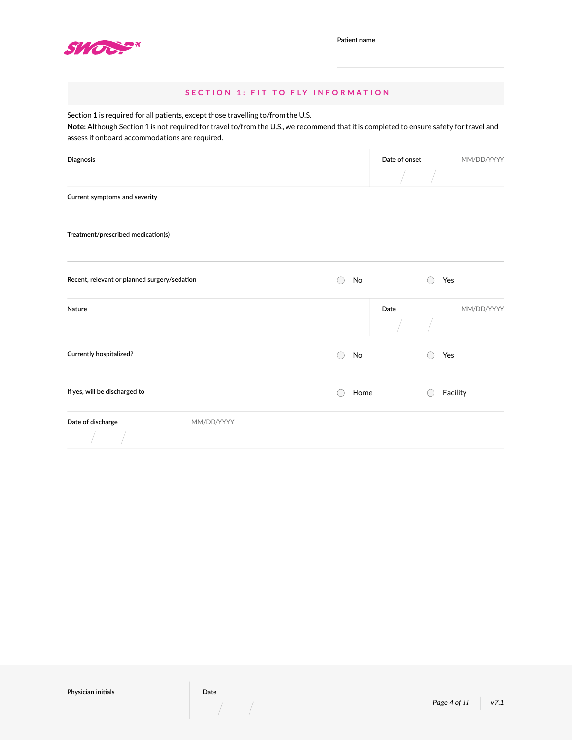

# **SECTION 1: FIT TO FLY INFORMATION**

Section 1 is required for all patients, except those travelling to/from the U.S.

**Note:** Although Section 1 is not required for travel to/from the U.S., we recommend that it is completed to ensure safety for travel and assess if onboard accommodations are required.

| Diagnosis                                    |      |      | Date of onset |            |  |
|----------------------------------------------|------|------|---------------|------------|--|
|                                              |      |      |               |            |  |
| Current symptoms and severity                |      |      |               |            |  |
| Treatment/prescribed medication(s)           |      |      |               |            |  |
| Recent, relevant or planned surgery/sedation | No   |      | Yes           |            |  |
| Nature                                       |      | Date |               | MM/DD/YYYY |  |
| Currently hospitalized?                      | No   |      | Yes           |            |  |
| If yes, will be discharged to                | Home |      |               | Facility   |  |
| Date of discharge<br>MM/DD/YYYY              |      |      |               |            |  |

 $\frac{1}{2}$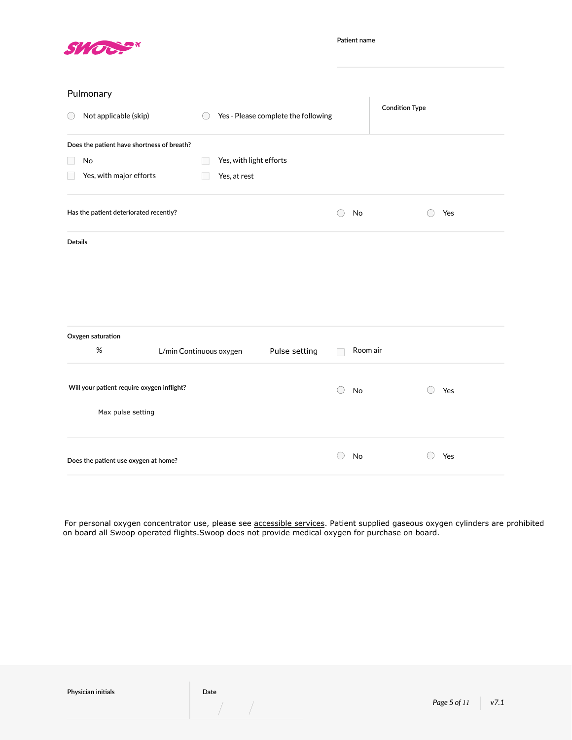

**Patient name**

|  | Pulmonary |
|--|-----------|
|--|-----------|

|                | Pulmonary                                  |                         |                                     |           |                       |     |
|----------------|--------------------------------------------|-------------------------|-------------------------------------|-----------|-----------------------|-----|
| ○              | Not applicable (skip)                      |                         | Yes - Please complete the following |           | <b>Condition Type</b> |     |
|                | Does the patient have shortness of breath? |                         |                                     |           |                       |     |
|                | No                                         | Yes, with light efforts |                                     |           |                       |     |
|                | Yes, with major efforts                    | Yes, at rest            |                                     |           |                       |     |
|                | Has the patient deteriorated recently?     |                         |                                     | No<br>()  |                       | Yes |
| <b>Details</b> |                                            |                         |                                     |           |                       |     |
|                |                                            |                         |                                     |           |                       |     |
|                |                                            |                         |                                     |           |                       |     |
|                |                                            |                         |                                     |           |                       |     |
|                | Oxygen saturation                          |                         |                                     |           |                       |     |
|                | $\%$                                       | L/min Continuous oxygen | Pulse setting                       |           | Room air              |     |
|                |                                            |                         |                                     |           |                       |     |
|                | Will your patient require oxygen inflight? |                         |                                     | No<br>( ) |                       | Yes |
|                | Max pulse setting                          |                         |                                     |           |                       |     |
|                | Does the patient use oxygen at home?       |                         |                                     | No        |                       | Yes |
|                |                                            |                         |                                     |           |                       |     |

For personal oxygen concentrator use, please see [accessible services.](https://www.flyswoop.com/accessible-services) Patient supplied gaseous oxygen cylinders are prohibited on board all Swoop operated flights.Swoop does not provide medical oxygen for purchase on board.

 $\int_{\mathbb{R}^n} \left| \frac{d\mathbf{r}}{d\mathbf{r}} \right| \, d\mathbf{r} \, d\mathbf{r} \, d\mathbf{r}$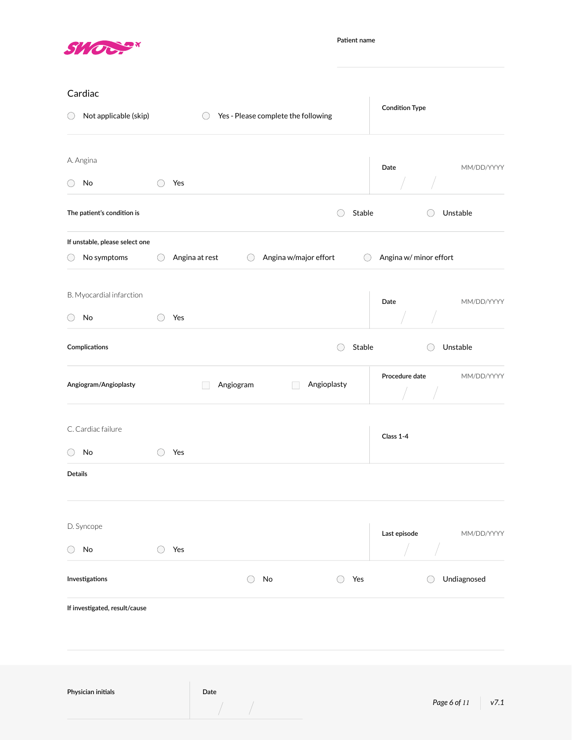

**Patient name**

| Cardiac                        |        |                |           |    |                                     |        |                        |              |      |
|--------------------------------|--------|----------------|-----------|----|-------------------------------------|--------|------------------------|--------------|------|
| Not applicable (skip)<br>○     |        | $($ )          |           |    | Yes - Please complete the following |        | <b>Condition Type</b>  |              |      |
| A. Angina                      |        |                |           |    |                                     |        | Date                   | MM/DD/YYYY   |      |
| No<br>( )                      | $(\ )$ | Yes            |           |    |                                     |        |                        |              |      |
| The patient's condition is     |        |                |           |    | ( )                                 | Stable |                        | Unstable     |      |
| If unstable, please select one |        |                |           |    |                                     |        |                        |              |      |
| No symptoms<br>()              | $($ )  | Angina at rest | $($ )     |    | Angina w/major effort               | $($ )  | Angina w/ minor effort |              |      |
| B. Myocardial infarction       |        |                |           |    |                                     |        | Date                   | MM/DD/YYYY   |      |
| No<br>( )                      |        | Yes            |           |    |                                     |        |                        |              |      |
| Complications                  |        |                |           |    | ( )                                 | Stable |                        | Unstable     |      |
| Angiogram/Angioplasty          |        |                | Angiogram |    | Angioplasty                         |        | Procedure date         | MM/DD/YYYY   |      |
| C. Cardiac failure             |        |                |           |    |                                     |        | Class 1-4              |              |      |
| No                             |        | Yes            |           |    |                                     |        |                        |              |      |
| <b>Details</b>                 |        |                |           |    |                                     |        |                        |              |      |
| D. Syncope                     |        |                |           |    |                                     |        | Last episode           | MM/DD/YYYY   |      |
| No<br>( )                      |        | Yes            |           |    |                                     |        |                        |              |      |
| Investigations                 |        |                | ( )       | No | ◯                                   | Yes    |                        | Undiagnosed  |      |
| If investigated, result/cause  |        |                |           |    |                                     |        |                        |              |      |
| Physician initials             |        | Date           |           |    |                                     |        |                        | Page 6 of 11 | v7.1 |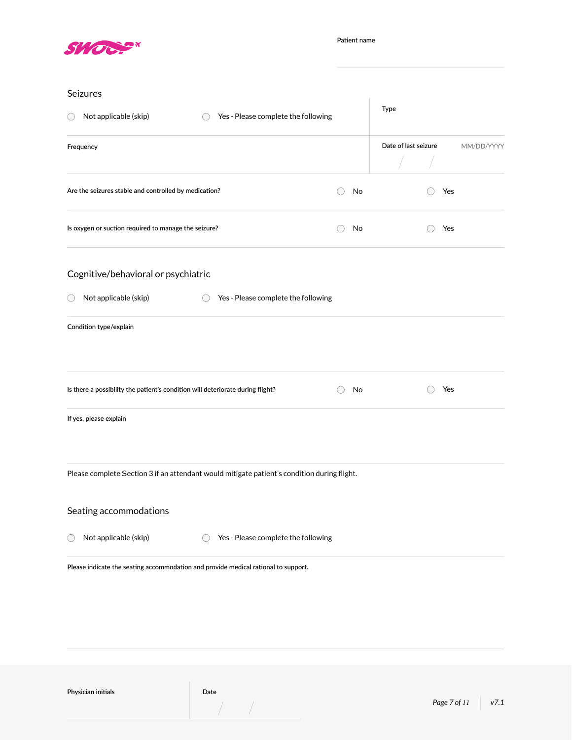

| Seizures                                                                                    |    | Type                 |                |            |
|---------------------------------------------------------------------------------------------|----|----------------------|----------------|------------|
| Yes - Please complete the following<br>Not applicable (skip)                                |    |                      |                |            |
| Frequency                                                                                   |    | Date of last seizure |                | MM/DD/YYYY |
|                                                                                             |    |                      |                |            |
| Are the seizures stable and controlled by medication?                                       | No |                      | Yes            |            |
| Is oxygen or suction required to manage the seizure?                                        | No |                      | Yes<br>$( \ )$ |            |
| Cognitive/behavioral or psychiatric                                                         |    |                      |                |            |
| Not applicable (skip)<br>Yes - Please complete the following<br>$($ )                       |    |                      |                |            |
| Condition type/explain                                                                      |    |                      |                |            |
|                                                                                             |    |                      |                |            |
| Is there a possibility the patient's condition will deteriorate during flight?              | No |                      | Yes            |            |
| If yes, please explain                                                                      |    |                      |                |            |
|                                                                                             |    |                      |                |            |
| Please complete Section 3 if an attendant would mitigate patient's condition during flight. |    |                      |                |            |
| Seating accommodations                                                                      |    |                      |                |            |
| Not applicable (skip)<br>Yes - Please complete the following                                |    |                      |                |            |
| Please indicate the seating accommodation and provide medical rational to support.          |    |                      |                |            |

**Physician initials Date** 

 $\frac{1}{2}$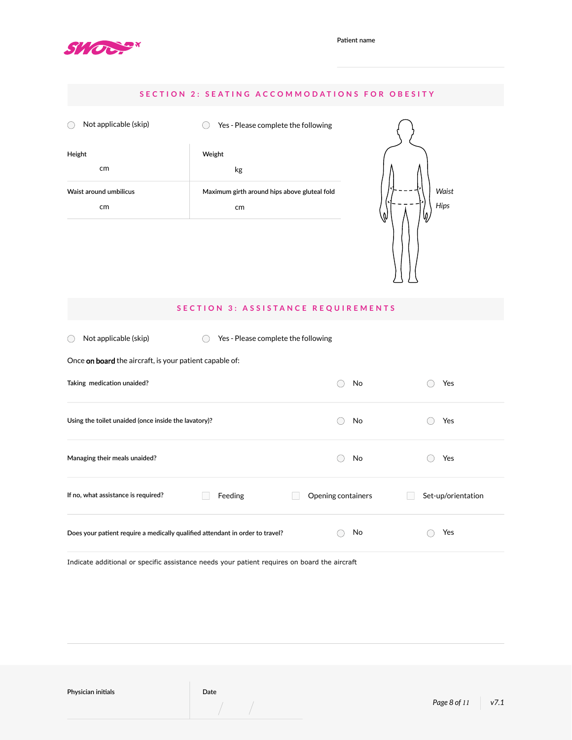

# **SECTION 2: SEATING ACCOMMODATIONS FOR OBESITY**

| Not applicable (skip)  | Yes - Please complete the following          |
|------------------------|----------------------------------------------|
| Height                 | Weight                                       |
| cm <sub>2</sub>        | kg                                           |
| Waist around umbilicus | Maximum girth around hips above gluteal fold |
| cm <sub>2</sub>        | cm                                           |



## **SECTION 3: ASSISTANCE REQUIREMENTS**

 $\bigcirc$  Not applicable (skip)  $\bigcirc$  Yes - Please complete the following

| No                 | Yes                |
|--------------------|--------------------|
| No                 | Yes                |
| No                 | Yes                |
| Opening containers | Set-up/orientation |
| No                 | Yes                |
|                    |                    |

Indicate additional or specific assistance needs your patient requires on board the aircraft

**Physician initials Date**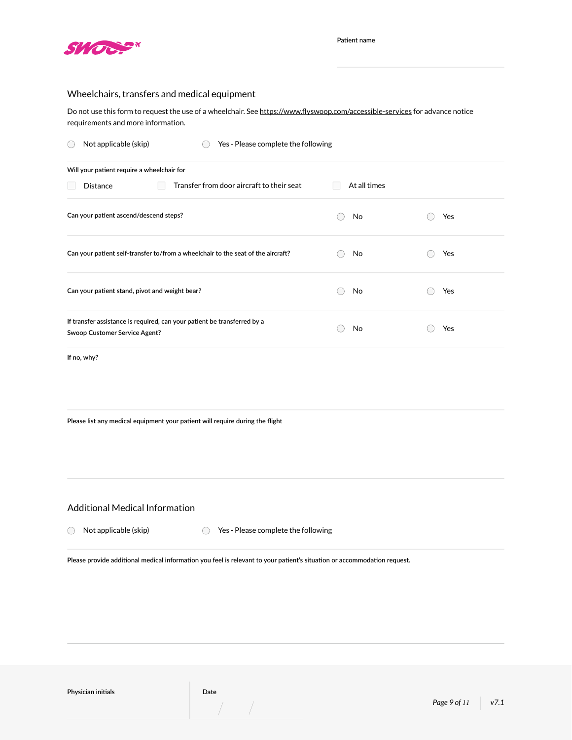

## Wheelchairs, transfers and medical equipment

Do not use this form to request the use of a wheelchair. See<https://www.flyswoop.com/accessible-services> for advance notice requirements and more information.

| Not applicable (skip)<br>Yes - Please complete the following                                              |              |     |  |  |  |
|-----------------------------------------------------------------------------------------------------------|--------------|-----|--|--|--|
| Will your patient require a wheelchair for                                                                |              |     |  |  |  |
| Transfer from door aircraft to their seat<br><b>Distance</b>                                              | At all times |     |  |  |  |
| Can your patient ascend/descend steps?                                                                    | No           | Yes |  |  |  |
| Can your patient self-transfer to/from a wheelchair to the seat of the aircraft?                          | No           | Yes |  |  |  |
| Can your patient stand, pivot and weight bear?                                                            | No           | Yes |  |  |  |
| If transfer assistance is required, can your patient be transferred by a<br>Swoop Customer Service Agent? | No           | Yes |  |  |  |
| If no, why?                                                                                               |              |     |  |  |  |

**Please list any medical equipment your patient will require during the flight**

Additional Medical Information

 $\bigcirc$  Not applicable (skip)  $\bigcirc$  Yes - Please complete the following

**Please provide additional medical information you feel is relevant to your patient's situation or accommodation request.**

**Physician initials Date**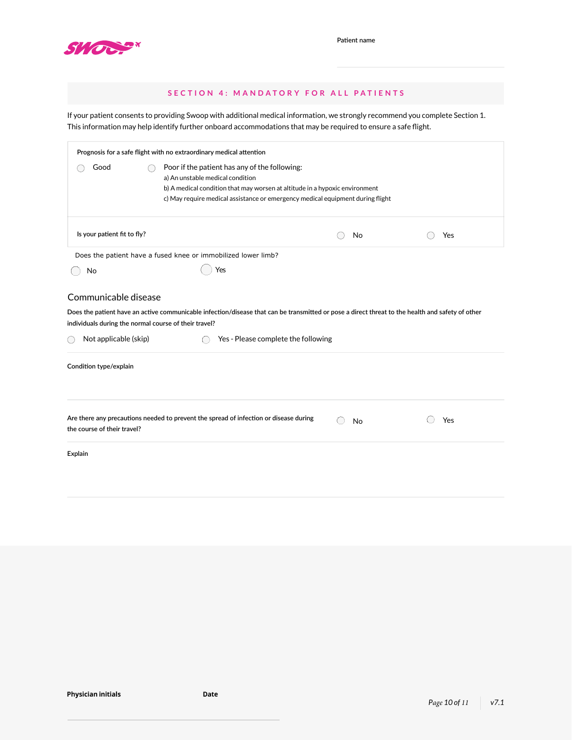

|                                                                                                        | SECTION 4: MANDATORY FOR ALL PATIENTS                                                                                                                                                                                                              |                                     |    |                       |
|--------------------------------------------------------------------------------------------------------|----------------------------------------------------------------------------------------------------------------------------------------------------------------------------------------------------------------------------------------------------|-------------------------------------|----|-----------------------|
|                                                                                                        | If your patient consents to providing Swoop with additional medical information, we strongly recommend you complete Section 1.<br>This information may help identify further onboard accommodations that may be required to ensure a safe flight.  |                                     |    |                       |
|                                                                                                        | Prognosis for a safe flight with no extraordinary medical attention                                                                                                                                                                                |                                     |    |                       |
| Good                                                                                                   | Poor if the patient has any of the following:<br>a) An unstable medical condition<br>b) A medical condition that may worsen at altitude in a hypoxic environment<br>c) May require medical assistance or emergency medical equipment during flight |                                     |    |                       |
| Is your patient fit to fly?                                                                            |                                                                                                                                                                                                                                                    |                                     | No | Yes                   |
|                                                                                                        | Does the patient have a fused knee or immobilized lower limb?                                                                                                                                                                                      |                                     |    |                       |
| No                                                                                                     | Yes                                                                                                                                                                                                                                                |                                     |    |                       |
| Communicable disease<br>individuals during the normal course of their travel?<br>Not applicable (skip) | Does the patient have an active communicable infection/disease that can be transmitted or pose a direct threat to the health and safety of other                                                                                                   | Yes - Please complete the following |    |                       |
| Condition type/explain                                                                                 |                                                                                                                                                                                                                                                    |                                     |    |                       |
| the course of their travel?<br>Explain                                                                 | Are there any precautions needed to prevent the spread of infection or disease during                                                                                                                                                              |                                     | No | Yes                   |
| <b>Physician initials</b>                                                                              | Date                                                                                                                                                                                                                                               |                                     |    | Page 10 of 11<br>v7.1 |